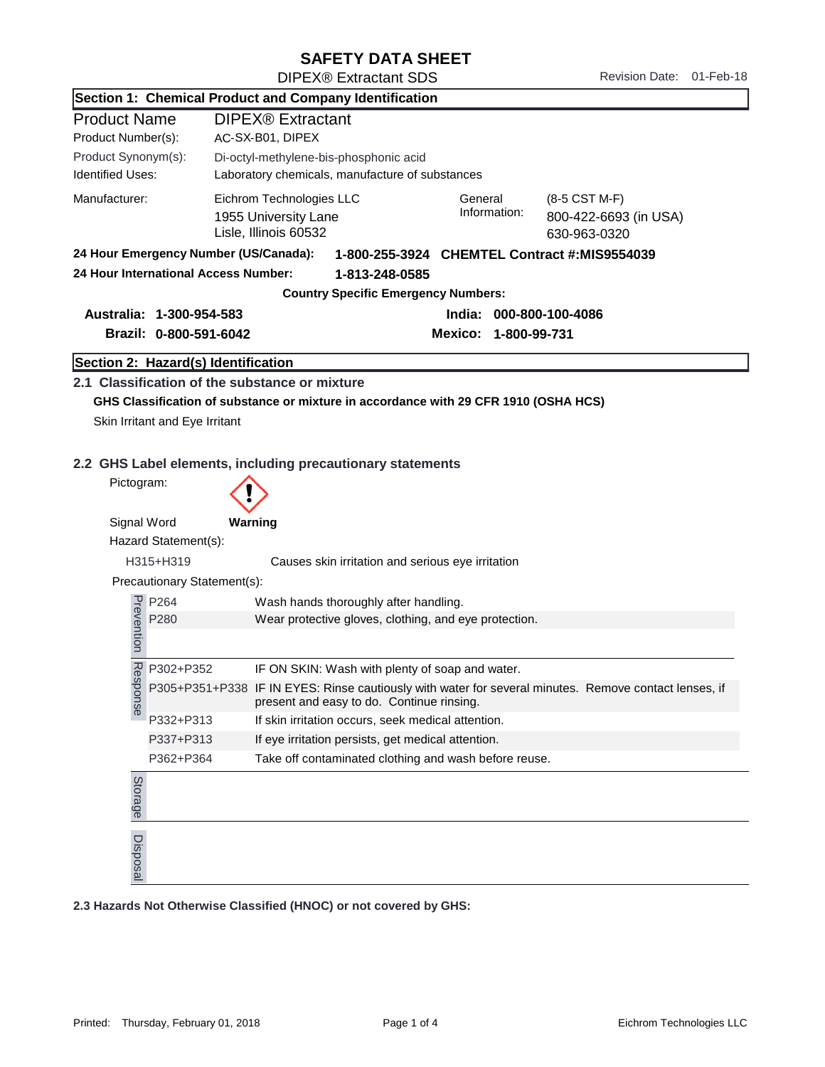## SAFETY DATA SHEET

| Section 1: Chemical Product and Company Identification |                                |                                                                                      |                                                                                                                                                    |                         |                                                        |  |  |
|--------------------------------------------------------|--------------------------------|--------------------------------------------------------------------------------------|----------------------------------------------------------------------------------------------------------------------------------------------------|-------------------------|--------------------------------------------------------|--|--|
| <b>Product Name</b>                                    |                                | DIPEX <sup>®</sup> Extractant                                                        |                                                                                                                                                    |                         |                                                        |  |  |
| Product Number(s):                                     |                                | AC-SX-B01, DIPEX                                                                     |                                                                                                                                                    |                         |                                                        |  |  |
| Product Synonym(s):                                    |                                | Di-octyl-methylene-bis-phosphonic acid                                               |                                                                                                                                                    |                         |                                                        |  |  |
| <b>Identified Uses:</b>                                |                                | Laboratory chemicals, manufacture of substances                                      |                                                                                                                                                    |                         |                                                        |  |  |
| Manufacturer:                                          |                                | 1955 University Lane<br>Lisle, Illinois 60532                                        | Eichrom Technologies LLC                                                                                                                           |                         | (8-5 CST M-F)<br>800-422-6693 (in USA)<br>630-963-0320 |  |  |
| 24 Hour Emergency Number (US/Canada):                  |                                |                                                                                      | 1-800-255-3924 CHEMTEL Contract #: MIS9554039                                                                                                      |                         |                                                        |  |  |
|                                                        |                                | 24 Hour International Access Number:                                                 | 1-813-248-0585                                                                                                                                     |                         |                                                        |  |  |
|                                                        |                                |                                                                                      | <b>Country Specific Emergency Numbers:</b>                                                                                                         |                         |                                                        |  |  |
| Australia: 1-300-954-583                               |                                |                                                                                      |                                                                                                                                                    | India: 000-800-100-4086 |                                                        |  |  |
|                                                        | Brazil: 0-800-591-6042         |                                                                                      |                                                                                                                                                    | Mexico: 1-800-99-731    |                                                        |  |  |
|                                                        |                                | Section 2: Hazard(s) Identification                                                  |                                                                                                                                                    |                         |                                                        |  |  |
|                                                        |                                | 2.1 Classification of the substance or mixture                                       |                                                                                                                                                    |                         |                                                        |  |  |
|                                                        |                                | GHS Classification of substance or mixture in accordance with 29 CFR 1910 (OSHA HCS) |                                                                                                                                                    |                         |                                                        |  |  |
|                                                        | Skin Irritant and Eye Irritant |                                                                                      |                                                                                                                                                    |                         |                                                        |  |  |
|                                                        |                                |                                                                                      |                                                                                                                                                    |                         |                                                        |  |  |
|                                                        |                                |                                                                                      |                                                                                                                                                    |                         |                                                        |  |  |
|                                                        |                                | 2.2 GHS Label elements, including precautionary statements                           |                                                                                                                                                    |                         |                                                        |  |  |
| Pictogram:                                             |                                |                                                                                      |                                                                                                                                                    |                         |                                                        |  |  |
| Signal Word                                            |                                | Warning                                                                              |                                                                                                                                                    |                         |                                                        |  |  |
|                                                        | Hazard Statement(s):           |                                                                                      |                                                                                                                                                    |                         |                                                        |  |  |
| H315+H319                                              |                                |                                                                                      | Causes skin irritation and serious eye irritation                                                                                                  |                         |                                                        |  |  |
|                                                        | Precautionary Statement(s):    |                                                                                      |                                                                                                                                                    |                         |                                                        |  |  |
| P264                                                   |                                | Wash hands thoroughly after handling.                                                |                                                                                                                                                    |                         |                                                        |  |  |
|                                                        | P280                           |                                                                                      | Wear protective gloves, clothing, and eye protection.                                                                                              |                         |                                                        |  |  |
| Prevention                                             |                                |                                                                                      |                                                                                                                                                    |                         |                                                        |  |  |
|                                                        | P302+P352                      |                                                                                      | IF ON SKIN: Wash with plenty of soap and water.                                                                                                    |                         |                                                        |  |  |
| <b>Resp</b><br>onse                                    |                                |                                                                                      | P305+P351+P338 IF IN EYES: Rinse cautiously with water for several minutes. Remove contact lenses, if<br>present and easy to do. Continue rinsing. |                         |                                                        |  |  |
|                                                        | P332+P313                      |                                                                                      | If skin irritation occurs, seek medical attention.                                                                                                 |                         |                                                        |  |  |
| P337+P313<br>P362+P364                                 |                                |                                                                                      | If eye irritation persists, get medical attention.                                                                                                 |                         |                                                        |  |  |
|                                                        |                                |                                                                                      | Take off contaminated clothing and wash before reuse.                                                                                              |                         |                                                        |  |  |
| Storage                                                |                                |                                                                                      |                                                                                                                                                    |                         |                                                        |  |  |
| Disposal                                               |                                |                                                                                      |                                                                                                                                                    |                         |                                                        |  |  |
|                                                        |                                | 2.3 Hazards Not Otherwise Classified (HNOC) or not covered by GHS:                   |                                                                                                                                                    |                         |                                                        |  |  |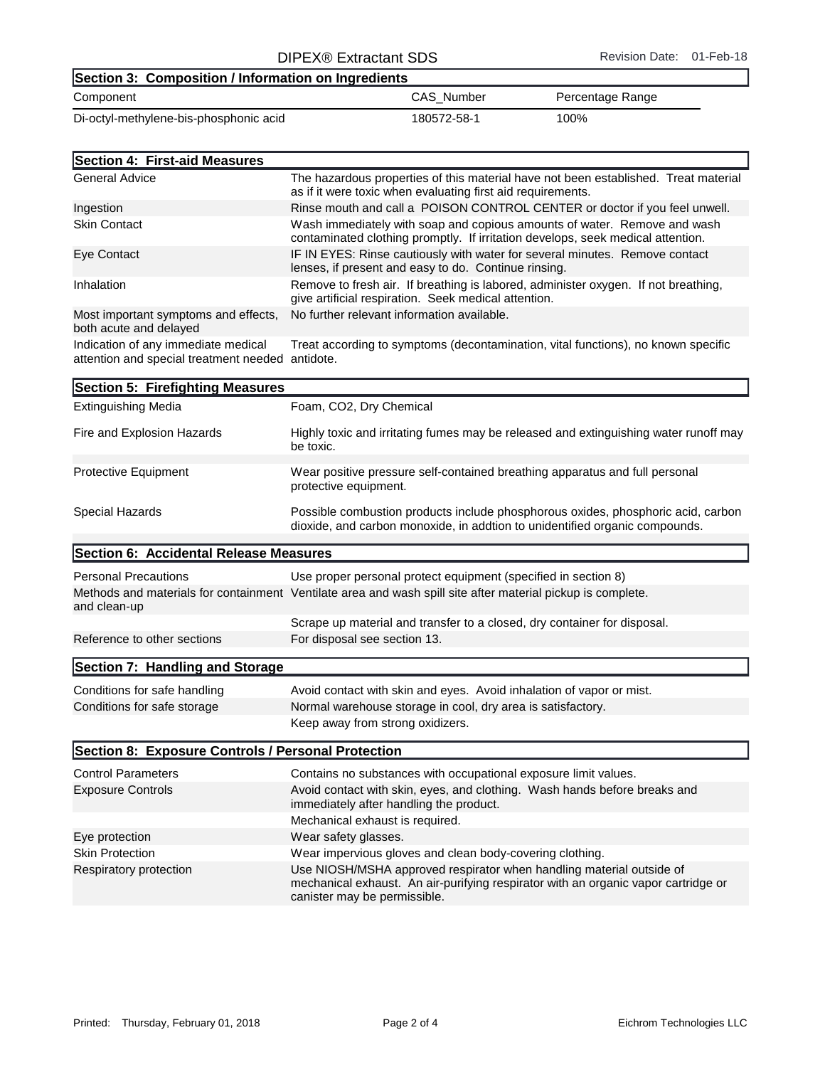## Component CAS\_Number Percentage Range Section 3: Composition / Information on Ingredients Di-octyl-methylene-bis-phosphonic acid 180572-58-1 100%

| Section 4: First-aid Measures                                  |                                                                                                                                                             |
|----------------------------------------------------------------|-------------------------------------------------------------------------------------------------------------------------------------------------------------|
| <b>General Advice</b>                                          | The hazardous properties of this material have not been established. Treat material<br>as if it were toxic when evaluating first aid requirements.          |
| Ingestion                                                      | Rinse mouth and call a POISON CONTROL CENTER or doctor if you feel unwell.                                                                                  |
| <b>Skin Contact</b>                                            | Wash immediately with soap and copious amounts of water. Remove and wash<br>contaminated clothing promptly. If irritation develops, seek medical attention. |
| Eye Contact                                                    | IF IN EYES: Rinse cautiously with water for several minutes. Remove contact<br>lenses, if present and easy to do. Continue rinsing.                         |
| Inhalation                                                     | Remove to fresh air. If breathing is labored, administer oxygen. If not breathing,<br>give artificial respiration. Seek medical attention.                  |
| Most important symptoms and effects,<br>both acute and delayed | No further relevant information available.                                                                                                                  |

Indication of any immediate medical attention and special treatment needed antidote. Treat according to symptoms (decontamination, vital functions), no known specific

| Section 5: Firefighting Measures                   |                                                                                                                                                                                            |  |  |
|----------------------------------------------------|--------------------------------------------------------------------------------------------------------------------------------------------------------------------------------------------|--|--|
| <b>Extinguishing Media</b>                         | Foam, CO2, Dry Chemical                                                                                                                                                                    |  |  |
| Fire and Explosion Hazards                         | Highly toxic and irritating fumes may be released and extinguishing water runoff may<br>be toxic.                                                                                          |  |  |
| Protective Equipment                               | Wear positive pressure self-contained breathing apparatus and full personal<br>protective equipment.                                                                                       |  |  |
| Special Hazards                                    | Possible combustion products include phosphorous oxides, phosphoric acid, carbon<br>dioxide, and carbon monoxide, in addtion to unidentified organic compounds.                            |  |  |
| Section 6: Accidental Release Measures             |                                                                                                                                                                                            |  |  |
| <b>Personal Precautions</b><br>and clean-up        | Use proper personal protect equipment (specified in section 8)<br>Methods and materials for containment Ventilate area and wash spill site after material pickup is complete.              |  |  |
|                                                    | Scrape up material and transfer to a closed, dry container for disposal.                                                                                                                   |  |  |
| Reference to other sections                        | For disposal see section 13.                                                                                                                                                               |  |  |
| Section 7: Handling and Storage                    |                                                                                                                                                                                            |  |  |
| Conditions for safe handling                       | Avoid contact with skin and eyes. Avoid inhalation of vapor or mist.                                                                                                                       |  |  |
| Conditions for safe storage                        | Normal warehouse storage in cool, dry area is satisfactory.                                                                                                                                |  |  |
|                                                    | Keep away from strong oxidizers.                                                                                                                                                           |  |  |
| Section 8: Exposure Controls / Personal Protection |                                                                                                                                                                                            |  |  |
| <b>Control Parameters</b>                          | Contains no substances with occupational exposure limit values.                                                                                                                            |  |  |
| <b>Exposure Controls</b>                           | Avoid contact with skin, eyes, and clothing. Wash hands before breaks and<br>immediately after handling the product.                                                                       |  |  |
|                                                    | Mechanical exhaust is required.                                                                                                                                                            |  |  |
| Eye protection                                     | Wear safety glasses.                                                                                                                                                                       |  |  |
| <b>Skin Protection</b>                             | Wear impervious gloves and clean body-covering clothing.                                                                                                                                   |  |  |
| Respiratory protection                             | Use NIOSH/MSHA approved respirator when handling material outside of<br>mechanical exhaust. An air-purifying respirator with an organic vapor cartridge or<br>canister may be permissible. |  |  |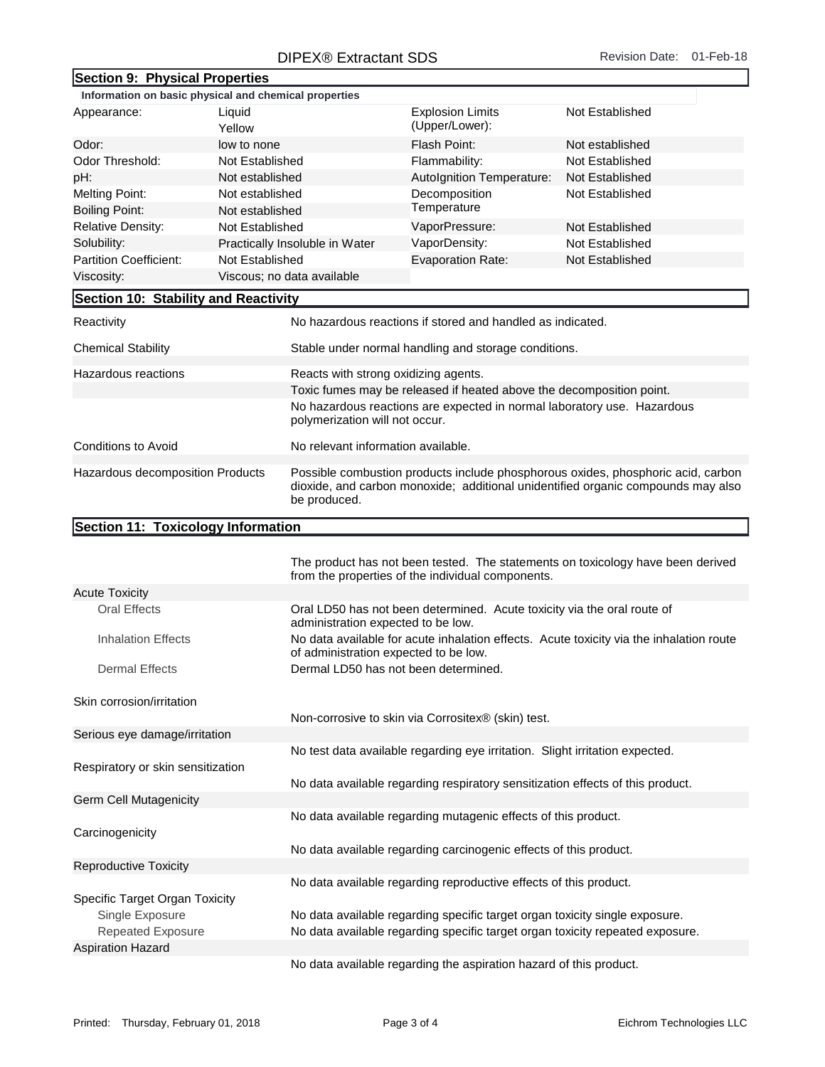## DIPEX® Extractant SDS Revision Date: 01-Feb-18

|                                                                |                  | DII LAW LAHAGAH ODO                                                                                                                                                                  |                                                                              |                                                                                 |  |
|----------------------------------------------------------------|------------------|--------------------------------------------------------------------------------------------------------------------------------------------------------------------------------------|------------------------------------------------------------------------------|---------------------------------------------------------------------------------|--|
| Section 9: Physical Properties                                 |                  |                                                                                                                                                                                      |                                                                              |                                                                                 |  |
| Information on basic physical and chemical properties          |                  |                                                                                                                                                                                      |                                                                              |                                                                                 |  |
| Appearance:                                                    | Liquid<br>Yellow |                                                                                                                                                                                      | <b>Explosion Limits</b><br>(Upper/Lower):                                    | Not Established                                                                 |  |
| Odor:<br>low to none                                           |                  |                                                                                                                                                                                      | Flash Point:                                                                 | Not established                                                                 |  |
| Odor Threshold:                                                | Not Established  |                                                                                                                                                                                      | Flammability:                                                                | Not Established                                                                 |  |
| pH:                                                            | Not established  |                                                                                                                                                                                      | Autolgnition Temperature:                                                    | Not Established                                                                 |  |
| <b>Melting Point:</b><br>Not established                       |                  |                                                                                                                                                                                      | Decomposition                                                                | Not Established                                                                 |  |
| <b>Boiling Point:</b>                                          | Not established  |                                                                                                                                                                                      | Temperature                                                                  |                                                                                 |  |
| <b>Relative Density:</b>                                       | Not Established  |                                                                                                                                                                                      | VaporPressure:                                                               | Not Established                                                                 |  |
| Solubility:                                                    |                  | Practically Insoluble in Water                                                                                                                                                       | VaporDensity:                                                                | Not Established                                                                 |  |
| <b>Partition Coefficient:</b>                                  | Not Established  |                                                                                                                                                                                      | <b>Evaporation Rate:</b>                                                     | Not Established                                                                 |  |
| Viscosity:                                                     |                  | Viscous; no data available                                                                                                                                                           |                                                                              |                                                                                 |  |
| Section 10: Stability and Reactivity                           |                  |                                                                                                                                                                                      |                                                                              |                                                                                 |  |
| Reactivity                                                     |                  | No hazardous reactions if stored and handled as indicated.                                                                                                                           |                                                                              |                                                                                 |  |
| <b>Chemical Stability</b>                                      |                  | Stable under normal handling and storage conditions.                                                                                                                                 |                                                                              |                                                                                 |  |
| Hazardous reactions                                            |                  | Reacts with strong oxidizing agents.                                                                                                                                                 |                                                                              |                                                                                 |  |
|                                                                |                  | Toxic fumes may be released if heated above the decomposition point.                                                                                                                 |                                                                              |                                                                                 |  |
|                                                                |                  | polymerization will not occur.                                                                                                                                                       | No hazardous reactions are expected in normal laboratory use. Hazardous      |                                                                                 |  |
| <b>Conditions to Avoid</b>                                     |                  | No relevant information available.                                                                                                                                                   |                                                                              |                                                                                 |  |
| Hazardous decomposition Products                               |                  | Possible combustion products include phosphorous oxides, phosphoric acid, carbon<br>dioxide, and carbon monoxide; additional unidentified organic compounds may also<br>be produced. |                                                                              |                                                                                 |  |
| Section 11: Toxicology Information                             |                  |                                                                                                                                                                                      |                                                                              |                                                                                 |  |
|                                                                |                  |                                                                                                                                                                                      |                                                                              |                                                                                 |  |
|                                                                |                  |                                                                                                                                                                                      | from the properties of the individual components.                            | The product has not been tested. The statements on toxicology have been derived |  |
| <b>Acute Toxicity</b>                                          |                  |                                                                                                                                                                                      |                                                                              |                                                                                 |  |
| <b>Oral Effects</b>                                            |                  | Oral LD50 has not been determined. Acute toxicity via the oral route of<br>administration expected to be low.                                                                        |                                                                              |                                                                                 |  |
| <b>Inhalation Effects</b>                                      |                  | No data available for acute inhalation effects. Acute toxicity via the inhalation route<br>of administration expected to be low.                                                     |                                                                              |                                                                                 |  |
| <b>Dermal Effects</b>                                          |                  | Dermal LD50 has not been determined.                                                                                                                                                 |                                                                              |                                                                                 |  |
| Skin corrosion/irritation                                      |                  |                                                                                                                                                                                      |                                                                              |                                                                                 |  |
|                                                                |                  |                                                                                                                                                                                      | Non-corrosive to skin via Corrositex® (skin) test.                           |                                                                                 |  |
| Serious eye damage/irritation                                  |                  |                                                                                                                                                                                      |                                                                              |                                                                                 |  |
|                                                                |                  |                                                                                                                                                                                      | No test data available regarding eye irritation. Slight irritation expected. |                                                                                 |  |
| Respiratory or skin sensitization                              |                  |                                                                                                                                                                                      |                                                                              |                                                                                 |  |
|                                                                |                  | No data available regarding respiratory sensitization effects of this product.                                                                                                       |                                                                              |                                                                                 |  |
| <b>Germ Cell Mutagenicity</b>                                  |                  |                                                                                                                                                                                      |                                                                              |                                                                                 |  |
| No data available regarding mutagenic effects of this product. |                  |                                                                                                                                                                                      |                                                                              |                                                                                 |  |
| Carcinogenicity                                                |                  |                                                                                                                                                                                      |                                                                              |                                                                                 |  |
|                                                                |                  |                                                                                                                                                                                      | No data available regarding carcinogenic effects of this product.            |                                                                                 |  |
| <b>Reproductive Toxicity</b>                                   |                  |                                                                                                                                                                                      |                                                                              |                                                                                 |  |
|                                                                |                  |                                                                                                                                                                                      | No data available regarding reproductive effects of this product.            |                                                                                 |  |
| Specific Target Organ Toxicity<br>Single Exposure              |                  | No data available regarding specific target organ toxicity single exposure.                                                                                                          |                                                                              |                                                                                 |  |

No data available regarding the aspiration hazard of this product.

Aspiration Hazard